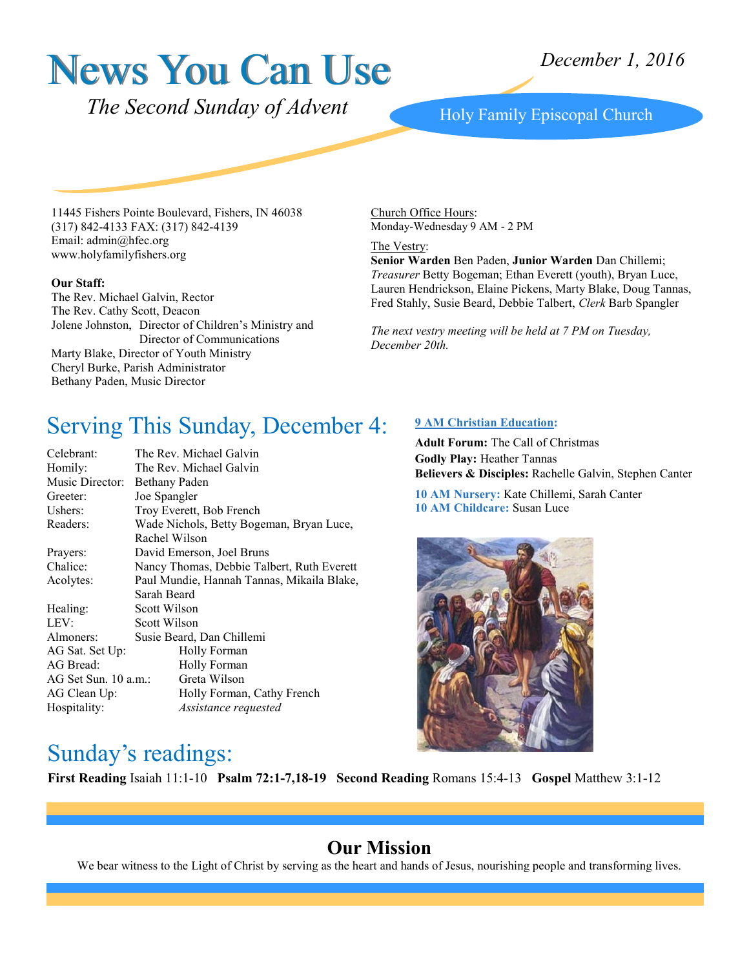# News You Can Use

*The Second Sunday of Advent* Holy Family Episcopal Church

11445 Fishers Pointe Boulevard, Fishers, IN 46038 (317) 842-4133 FAX: (317) 842-4139 Email: admin@hfec.org www.holyfamilyfishers.org

#### **Our Staff:**

The Rev. Michael Galvin, Rector The Rev. Cathy Scott, Deacon Jolene Johnston, Director of Children's Ministry and Director of Communications Marty Blake, Director of Youth Ministry Cheryl Burke, Parish Administrator Bethany Paden, Music Director

Church Office Hours: Monday-Wednesday 9 AM - 2 PM

The Vestry:

**Senior Warden** Ben Paden, **Junior Warden** Dan Chillemi; *Treasurer* Betty Bogeman; Ethan Everett (youth), Bryan Luce, Lauren Hendrickson, Elaine Pickens, Marty Blake, Doug Tannas, Fred Stahly, Susie Beard, Debbie Talbert, *Clerk* Barb Spangler

*The next vestry meeting will be held at 7 PM on Tuesday, December 20th.*

## Serving This Sunday, December 4:

| Celebrant:           | The Rev. Michael Galvin                    |  |  |
|----------------------|--------------------------------------------|--|--|
| Homily:              | The Rev. Michael Galvin                    |  |  |
| Music Director:      | Bethany Paden                              |  |  |
| Greeter:             | Joe Spangler                               |  |  |
| Ushers:              | Troy Everett, Bob French                   |  |  |
| Readers:             | Wade Nichols, Betty Bogeman, Bryan Luce,   |  |  |
|                      | Rachel Wilson                              |  |  |
| Prayers:             | David Emerson, Joel Bruns                  |  |  |
| Chalice:             | Nancy Thomas, Debbie Talbert, Ruth Everett |  |  |
| Acolytes:            | Paul Mundie, Hannah Tannas, Mikaila Blake, |  |  |
|                      | Sarah Beard                                |  |  |
| Healing:             | Scott Wilson                               |  |  |
| LEV:                 | Scott Wilson                               |  |  |
| Almoners:            | Susie Beard, Dan Chillemi                  |  |  |
| AG Sat. Set Up:      | Holly Forman                               |  |  |
| AG Bread:            | Holly Forman                               |  |  |
| AG Set Sun. 10 a.m.: | Greta Wilson                               |  |  |
| AG Clean Up:         | Holly Forman, Cathy French                 |  |  |
| Hospitality:         | Assistance requested                       |  |  |

#### **9 AM Christian Education:**

**Adult Forum:** The Call of Christmas **Godly Play:** Heather Tannas **Believers & Disciples:** Rachelle Galvin, Stephen Canter

**10 AM Nursery:** Kate Chillemi, Sarah Canter **10 AM Childcare:** Susan Luce



## Sunday's readings:

**First Reading** Isaiah 11:1-10 **Psalm 72:1-7,18-19 Second Reading** Romans 15:4-13 **Gospel** Matthew 3:1-12

#### **Our Mission**

We bear witness to the Light of Christ by serving as the heart and hands of Jesus, nourishing people and transforming lives.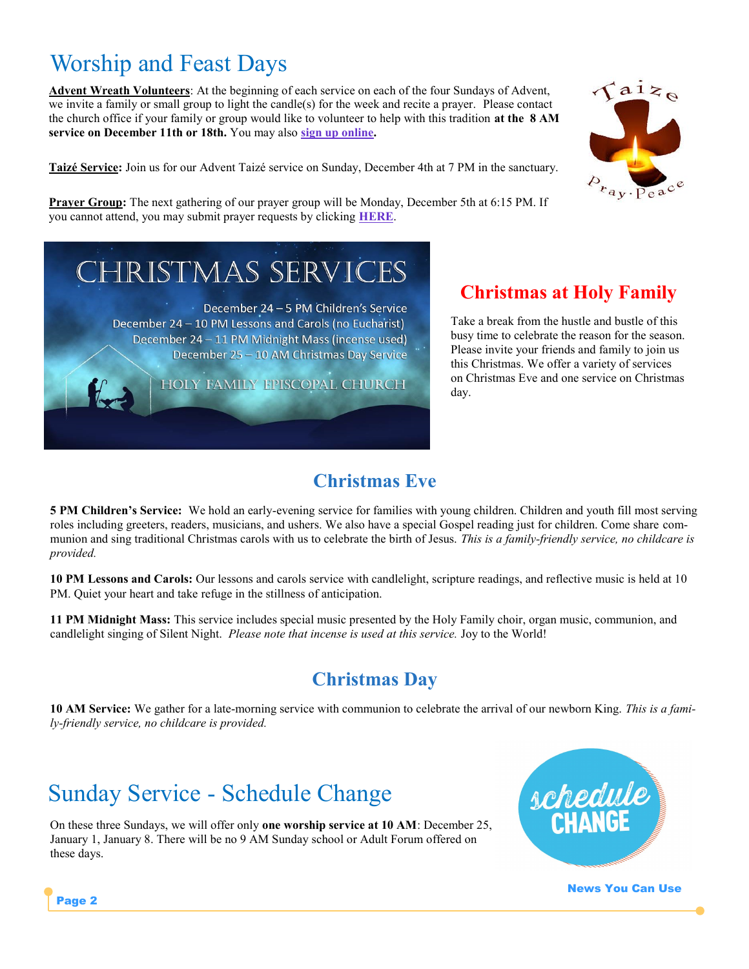## Worship and Feast Days

**Advent Wreath Volunteers**: At the beginning of each service on each of the four Sundays of Advent, we invite a family or small group to light the candle(s) for the week and recite a prayer. Please contact the church office if your family or group would like to volunteer to help with this tradition **at the 8 AM service on December 11th or 18th.** You may also **[sign up online.](http://www.signupgenius.com/go/10c044aacac2cabfb6-advent1)**

**Taizé Service:** Join us for our Advent Taizé service on Sunday, December 4th at 7 PM in the sanctuary.



**Prayer Group:** The next gathering of our prayer group will be Monday, December 5th at 6:15 PM. If you cannot attend, you may submit prayer requests by clicking **[HERE](http://www.holyfamilyfishers.org/contact-us/)**.

# **IRISTMAS SERVICES**

December 24 - 5 PM Children's Service December 24 - 10 PM Lessons and Carols (no Eucharist) December 24 - 11 PM Midnight Mass (incense used) December 25 - 10 AM Christmas Day Service

HOLY FAMILY EPISCOPAL CHURCH

#### **Christmas at Holy Family**

Take a break from the hustle and bustle of this busy time to celebrate the reason for the season. Please invite your friends and family to join us this Christmas. We offer a variety of services on Christmas Eve and one service on Christmas day.

### **Christmas Eve**

**5 PM Children's Service:** We hold an early-evening service for families with young children. Children and youth fill most serving roles including greeters, readers, musicians, and ushers. We also have a special Gospel reading just for children. Come share communion and sing traditional Christmas carols with us to celebrate the birth of Jesus. *This is a family-friendly service, no childcare is provided.*

**10 PM Lessons and Carols:** Our lessons and carols service with candlelight, scripture readings, and reflective music is held at 10 PM. Quiet your heart and take refuge in the stillness of anticipation.

**11 PM Midnight Mass:** This service includes special music presented by the Holy Family choir, organ music, communion, and candlelight singing of Silent Night. *Please note that incense is used at this service.* Joy to the World!

#### **Christmas Day**

**10 AM Service:** We gather for a late-morning service with communion to celebrate the arrival of our newborn King. *This is a family-friendly service, no childcare is provided.*

## Sunday Service - Schedule Change

On these three Sundays, we will offer only **one worship service at 10 AM**: December 25, January 1, January 8. There will be no 9 AM Sunday school or Adult Forum offered on these days.



News You Can Use

Page 2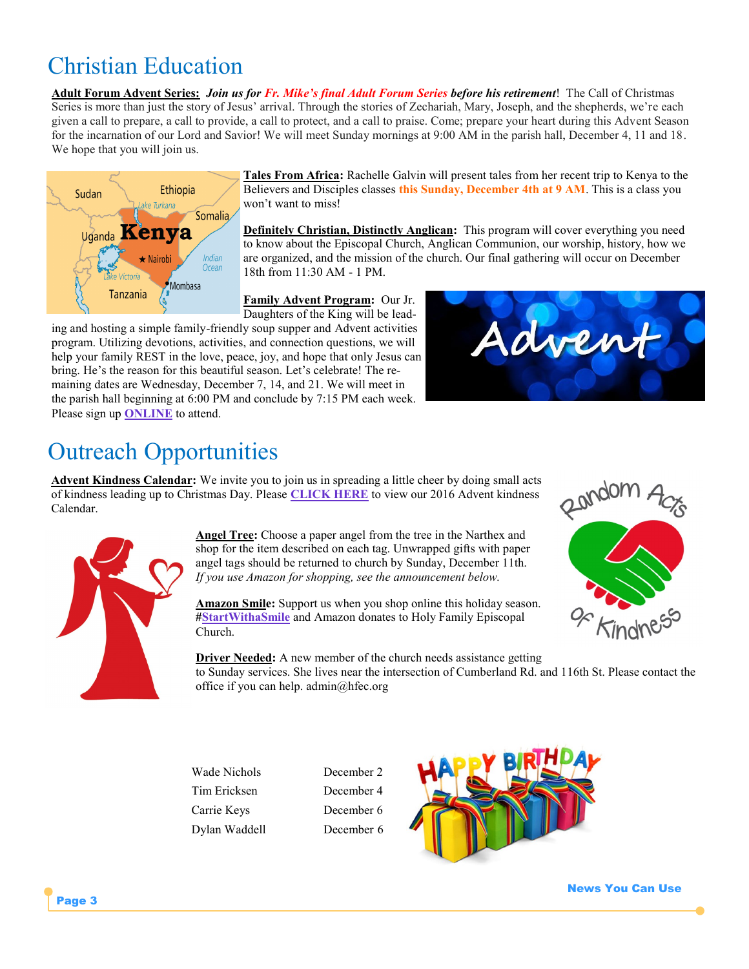## Christian Education

**Adult Forum Advent Series:** *Join us for Fr. Mike's final Adult Forum Series before his retirement*! The Call of Christmas Series is more than just the story of Jesus' arrival. Through the stories of Zechariah, Mary, Joseph, and the shepherds, we're each given a call to prepare, a call to provide, a call to protect, and a call to praise. Come; prepare your heart during this Advent Season for the incarnation of our Lord and Savior! We will meet Sunday mornings at 9:00 AM in the parish hall, December 4, 11 and 18. We hope that you will join us.



**Tales From Africa:** Rachelle Galvin will present tales from her recent trip to Kenya to the Believers and Disciples classes **this Sunday, December 4th at 9 AM**. This is a class you won't want to miss!

**Definitely Christian, Distinctly Anglican:** This program will cover everything you need to know about the Episcopal Church, Anglican Communion, our worship, history, how we are organized, and the mission of the church. Our final gathering will occur on December 18th from 11:30 AM - 1 PM.

**Family Advent Program:** Our Jr. Daughters of the King will be lead-

ing and hosting a simple family-friendly soup supper and Advent activities program. Utilizing devotions, activities, and connection questions, we will help your family REST in the love, peace, joy, and hope that only Jesus can bring. He's the reason for this beautiful season. Let's celebrate! The remaining dates are Wednesday, December 7, 14, and 21. We will meet in the parish hall beginning at 6:00 PM and conclude by 7:15 PM each week. Please sign up **[ONLINE](https://goo.gl/forms/qazktRXCBuJ6tLmh2)** to attend.



## Outreach Opportunities

**Advent Kindness Calendar:** We invite you to join us in spreading a little cheer by doing small acts of kindness leading up to Christmas Day. Please **[CLICK HERE](http://www.holyfamilyfishers.org/kindness-advent-calender2016-2/)** to view our 2016 Advent kindness Calendar.



**Angel Tree:** Choose a paper angel from the tree in the Narthex and shop for the item described on each tag. Unwrapped gifts with paper angel tags should be returned to church by Sunday, December 11th. *If you use Amazon for shopping, see the announcement below.*

**Amazon Smile:** Support us when you shop online this holiday season. **[#StartWithaSmile](https://smile.amazon.com/ch/35-1853296)** and Amazon donates to Holy Family Episcopal Church.



**Driver Needed:** A new member of the church needs assistance getting to Sunday services. She lives near the intersection of Cumberland Rd. and 116th St. Please contact the office if you can help. admin@hfec.org

Wade Nichols December 2 Tim Ericksen December 4 Carrie Keys December 6 Dylan Waddell December 6